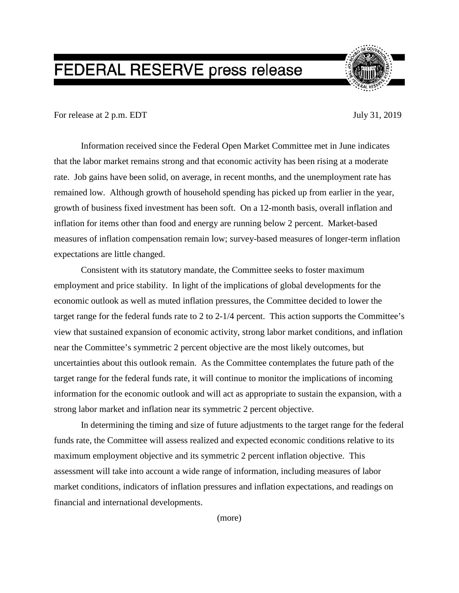## FEDERAL RESERVE press release



## For release at 2 p.m. EDT July 31, 2019

Information received since the Federal Open Market Committee met in June indicates that the labor market remains strong and that economic activity has been rising at a moderate rate. Job gains have been solid, on average, in recent months, and the unemployment rate has remained low. Although growth of household spending has picked up from earlier in the year, growth of business fixed investment has been soft. On a 12-month basis, overall inflation and inflation for items other than food and energy are running below 2 percent. Market-based measures of inflation compensation remain low; survey-based measures of longer-term inflation expectations are little changed.

Consistent with its statutory mandate, the Committee seeks to foster maximum employment and price stability. In light of the implications of global developments for the economic outlook as well as muted inflation pressures, the Committee decided to lower the target range for the federal funds rate to 2 to 2-1/4 percent. This action supports the Committee's view that sustained expansion of economic activity, strong labor market conditions, and inflation near the Committee's symmetric 2 percent objective are the most likely outcomes, but uncertainties about this outlook remain. As the Committee contemplates the future path of the target range for the federal funds rate, it will continue to monitor the implications of incoming information for the economic outlook and will act as appropriate to sustain the expansion, with a strong labor market and inflation near its symmetric 2 percent objective.

In determining the timing and size of future adjustments to the target range for the federal funds rate, the Committee will assess realized and expected economic conditions relative to its maximum employment objective and its symmetric 2 percent inflation objective. This assessment will take into account a wide range of information, including measures of labor market conditions, indicators of inflation pressures and inflation expectations, and readings on financial and international developments.

(more)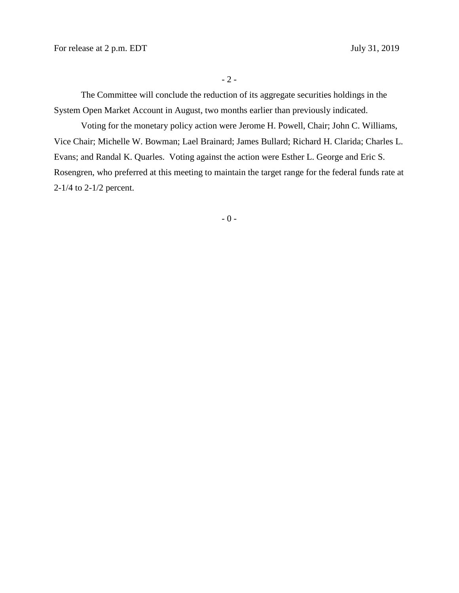The Committee will conclude the reduction of its aggregate securities holdings in the System Open Market Account in August, two months earlier than previously indicated.

Voting for the monetary policy action were Jerome H. Powell, Chair; John C. Williams, Vice Chair; Michelle W. Bowman; Lael Brainard; James Bullard; Richard H. Clarida; Charles L. Evans; and Randal K. Quarles. Voting against the action were Esther L. George and Eric S. Rosengren, who preferred at this meeting to maintain the target range for the federal funds rate at 2-1/4 to 2-1/2 percent.

- 0 -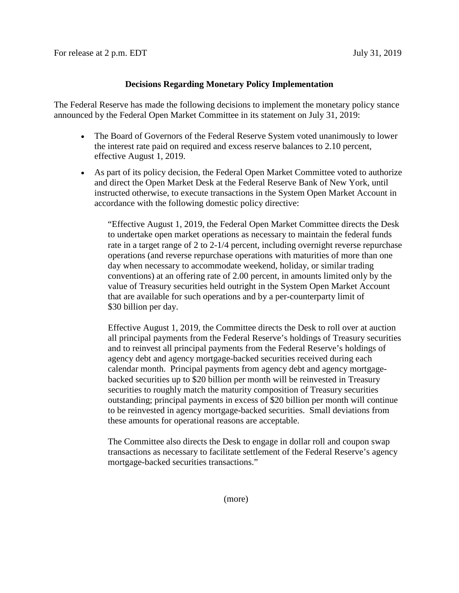## **Decisions Regarding Monetary Policy Implementation**

The Federal Reserve has made the following decisions to implement the monetary policy stance announced by the Federal Open Market Committee in its statement on July 31, 2019:

- The Board of Governors of the Federal Reserve System voted unanimously to lower the interest rate paid on required and excess reserve balances to 2.10 percent, effective August 1, 2019.
- As part of its policy decision, the Federal Open Market Committee voted to authorize and direct the Open Market Desk at the Federal Reserve Bank of New York, until instructed otherwise, to execute transactions in the System Open Market Account in accordance with the following domestic policy directive:

"Effective August 1, 2019, the Federal Open Market Committee directs the Desk to undertake open market operations as necessary to maintain the federal funds rate in a target range of 2 to 2-1/4 percent, including overnight reverse repurchase operations (and reverse repurchase operations with maturities of more than one day when necessary to accommodate weekend, holiday, or similar trading conventions) at an offering rate of 2.00 percent, in amounts limited only by the value of Treasury securities held outright in the System Open Market Account that are available for such operations and by a per-counterparty limit of \$30 billion per day.

Effective August 1, 2019, the Committee directs the Desk to roll over at auction all principal payments from the Federal Reserve's holdings of Treasury securities and to reinvest all principal payments from the Federal Reserve's holdings of agency debt and agency mortgage-backed securities received during each calendar month. Principal payments from agency debt and agency mortgagebacked securities up to \$20 billion per month will be reinvested in Treasury securities to roughly match the maturity composition of Treasury securities outstanding; principal payments in excess of \$20 billion per month will continue to be reinvested in agency mortgage-backed securities. Small deviations from these amounts for operational reasons are acceptable.

The Committee also directs the Desk to engage in dollar roll and coupon swap transactions as necessary to facilitate settlement of the Federal Reserve's agency mortgage-backed securities transactions."

(more)